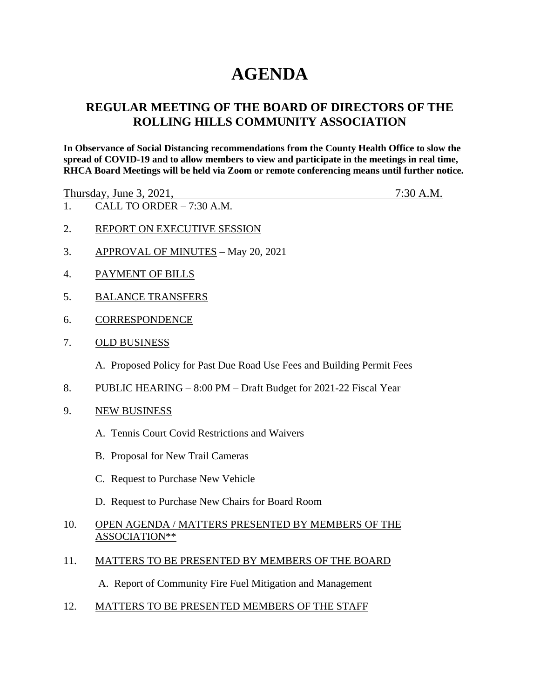# **AGENDA**

## **REGULAR MEETING OF THE BOARD OF DIRECTORS OF THE ROLLING HILLS COMMUNITY ASSOCIATION**

**In Observance of Social Distancing recommendations from the County Health Office to slow the spread of COVID-19 and to allow members to view and participate in the meetings in real time, RHCA Board Meetings will be held via Zoom or remote conferencing means until further notice.** 

Thursday, June 3, 2021, 7:30 A.M.

- 1. CALL TO ORDER 7:30 A.M.
- 2. REPORT ON EXECUTIVE SESSION
- 3. APPROVAL OF MINUTES May 20, 2021
- 4. PAYMENT OF BILLS
- 5. BALANCE TRANSFERS
- 6. CORRESPONDENCE
- 7. OLD BUSINESS

A. Proposed Policy for Past Due Road Use Fees and Building Permit Fees

- 8. PUBLIC HEARING 8:00 PM Draft Budget for 2021-22 Fiscal Year
- 9. NEW BUSINESS
	- A. Tennis Court Covid Restrictions and Waivers
	- B. Proposal for New Trail Cameras
	- C. Request to Purchase New Vehicle
	- D. Request to Purchase New Chairs for Board Room
- 10. OPEN AGENDA / MATTERS PRESENTED BY MEMBERS OF THE ASSOCIATION\*\*
- 11. MATTERS TO BE PRESENTED BY MEMBERS OF THE BOARD

A. Report of Community Fire Fuel Mitigation and Management

12. MATTERS TO BE PRESENTED MEMBERS OF THE STAFF